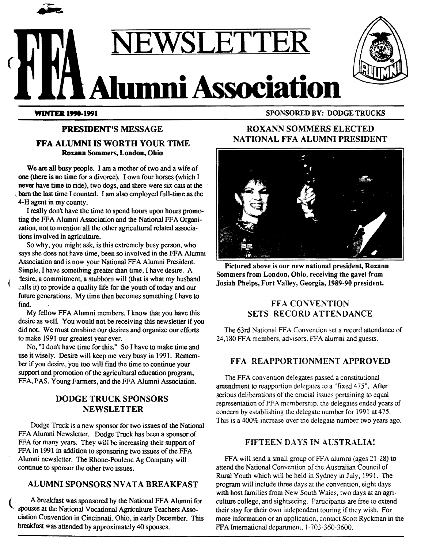

**WINTER 1998-1991** 

## PRESIDENT'S MESSAGE FFA ALUMNI IS WORTH YOUR TIME

Roxann Sommers, London, Ohio

We are all busy people. I am a mother of two and a wife of one (there is no time for a divorce). I own four horses (which I never have time to ride), two dogs, and there were six cats at the barn the last time I counted. I am also employed full-time as the 4-H agent in my county.

I really don't have the time to spend hours upon hours promoting the FFA Alumni Association and the National FFA Organization, not to mention all the other agricultural related associations involved in agriculture.

So why, you might ask, is this extremely busy person, who says she does not have time, been so involved in the FFA Alumni Association and is now your National FFA Alumni President. Simple, I have something greater than time, I have desire. A 1esire, a commitment, a stubborn will (that is what my husband .;alls it) to provide a quality life for the youth of today and our future generations. My time then becomes something I have to find.

My fellow FFA Alumni members, I know that you have this desire as well. You would not be receiving this newsletter if you did not. We must combine our desires and organize our efforts to make 1991 our greatest year ever.

No, "I don't have time for this." So I have to make time and use it wisely. Desire will keep me very busy in 1991. Remember if you desire, 'you too will find the time to continue your support and promotion of the agricultural education program, FFA, PAS, Young Farmers, and the FFA Alumni Association.

### DODGE TRUCK SPONSORS NEWSLETTER

Dodge Truck is a new sponsor for two issues of the National FFA Alumni Newsletter. Dodge Truck has been a sponsor of FFA for many years. They will be increasing their support of FFA in 1991 in addition to sponsoring two issues of the FFA Alumni newsletter. The Rhone-Poulenc Ag Company will continue to sponsor the other two issues.

#### ALUMNI SPONSORS NVATA BREAKFAST

( A breakfast was sponsored by the National FFA Alumni for spouses at the National Vocational Agriculture Teachers Association Convention in Cincinnati, Ohio, in early December. This breakfast was attended by approximately 40 spouses.

## ROXANN SOMMERS ELECTED NATIONAL FFA ALUMNI PRESIDENT



Pictured above is our new national president, Roxann Sommers from London, Ohio, receiving the gavel from Josiah Phelps, Fort Valley, Georgia, 1989-90 president.

#### **FFA CONVENTION** SETS RECORD ATTENDANCE

The 63rd National FFA Convention set a record attendance of 24, 180 FFA members, advisors. FFA alumni and guests.

#### FFA REAPPORTIONMENT APPROVED

The FFA convention delegates passed a constitutional amendment to reapportion delegates to a "fixed 475". After serious deliberations of the crucial issues pertaining to equal representation of FFA membership, the delegates ended years of concern by establishing the delegate number for 1991 at 475. This is a 400% increase over the delegate number two years ago.

#### FIFTEEN DAYS IN AUSTRALIA!

FFA will send a small group of FFA alumni (ages 21-28) to attend the National Convention of the Australian Council of Rural Youth which will be held in Sydney in July, 1991. The program will include three days at the convention, eight days with host families from New South Wales, two days at an agriculture college, and sightseeing. Participants are free to extend their stay for their own independent touring if they wish. For more information or an application, contact Scott Ryckman in the FFA International department, 1-703-360-3600.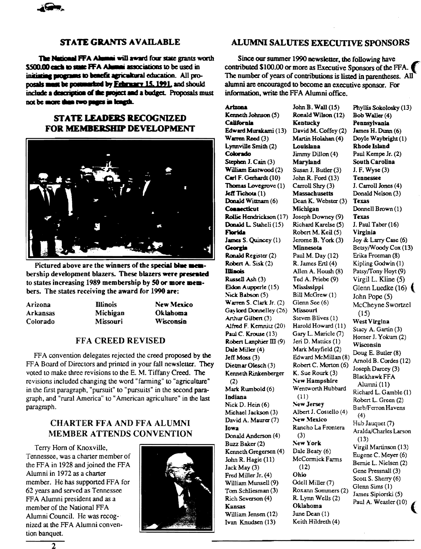

#### **STATE GRANTS AVAILABLE**

The National FFA Alumni will award four state grants worth \$500.00 each to state FFA Alumni associations to be used in initiating programs to benefit agricultural education. All proposals must be postmarked by February 15, 1991, and should include a description of the project and a budget. Proposals must not be more than two pages in length.

#### **STATE LEADERS RECOGNIZED** FOR MEMBERSHIP DEVELOPMENT



Pictured above are the winners of the special blue membership development blazers. These blazers were presented to states increasing 1989 membership by 50 or more members. The states receiving the award for 1990 are:

| Arizona  | <b>Illinois</b> | <b>New Mexico</b> |
|----------|-----------------|-------------------|
| Arkansas | Michigan        | Oklahoma          |
| Colorado | <b>Missouri</b> | <b>Wisconsin</b>  |

#### **FFA CREED REVISED**

FFA convention delegates rejected the creed proposed by the FFA Board of Directors and printed in your fall newsletter. They voted to make three revisions to the E. M. Tiffany Creed. The revisions included changing the word "farming" to "agriculture" in the first paragraph, "pursuit" to "pursuits" in the second paragraph, and "rural America" to "American agriculture" in the last paragraph.

#### **CHARTER FFA AND FFA ALUMNI MEMBER ATTENDS CONVENTION**

Terry Horn of Knoxville, Tennessee, was a charter member of the FFA in 1928 and joined the FFA Alumni in 1972 as a charter member. He has supported FFA for 62 years and served as Tennessee FFA Alumni president and as a member of the National FFA Alumni Council. He was recognized at the FFA Alumni convention banquet.



#### ALUMNI SALUTES EXECUTIVE SPONSORS

Since our summer 1990 newsletter, the following have contributed \$100.00 or more as Executive Sponsors of the FFA. The number of years of contributions is listed in parentheses. All alumni are encouraged to become an executive sponsor. For information, write the FFA Alumni office.

**Arizona** Kenneth Johnson (5) California Edward Murakami (13) Warren Reed (3) Lynnville Smith (2) Colorado Stephen J. Cain (3) William Eastwood (2) Carl F. Gerhardt (10) Thomas Lovegrove (1) Jeff Tichota (1) Donald Wittnam (6) **Connecticut** Rollie Hendrickson (17) Donald L. Staheli (15) **Florida** James S. Quincey (1) Georgia Ronald Register (2) Robert A. Sisk (2) **Illinois** Russell Ash (3) Eldon Aupperle (15) Nick Babson (5) Warren S. Clark Jr. (2) Gaylord Donnelley (26) Arthur Gilbert (3) Alfred F. Kemnitz (20) Paul C. Krouse (13) Robert Lanphier  $III(9)$ Dale Miller (4) Jeff Moss (3) Dietmar Olesch (3) Kenneth Rinkenberger  $(2)$ Mark Rumbold (6) Indiana Nick D. Hein (6) Michael Jackson (3) David A. Maurer (7) **Tows** Donald Anderson (4) Buzz Baker (2) Kenneth Gregersen (4) John R. Hagie (11) Jack May (3) Fred Miller Jr. (4) William Munsell (9) Tom Schliesman (3) Rich Severson (4) **Kansas** William Jensen (12) Ivan Knudsen (13)

John B. Wall  $(15)$ Ronald Wilson (12) Kentucky David M. Coffey (2) Martin Holahan (4) Louislana Jimmy Dillon (4) **Marvland** Susan J. Butler (3) John R. Ford  $(13)$ Carroll Shry (3) **Massachusetts** Dean K. Webster (3) Michigan Joseph Downey (9) Richard Karelse (5) Robert M. Keil (5) Jerome B. York (3) Minnesota Paul M. Day (12) R. James Ertl (4) Allen A. Housh (8) Ted A. Priebe (9) Mississippi Bill McGrew (1) Glenn See (6) Missouri Steven Blives (1) Harold Howard (11) Gary L. Maricle (7) Jeri D. Mattics (1) Mark Mayfield (2) Edward McMillan (8) Robert C. Morton (6) K. Sue Rourk (3) New Hampshire Wentworth Hubbard  $(11)$ New Jersey Albert J. Costello (4) New Mexico Rancho La Frontera  $(3)$ New York Dale Beaty (6) McCormick Farms  $(12)$ Ohio Odell Miller (7) Roxann Sommers (2) R. Lynn Wells (2) Oklahoma June Dean (1) Keith Hildreth (4)

Phyllis Sokolosky (13) Bob Waller (4) **Pennsylvania** James H. Dunn (6) Doyle Waybright (1) **Rhode Island** Paul Kempe Jr. (2) **South Carolina** J. F. Wyse (3) **Tennessee** J. Carroll Jones (4) Donald Nelson (3) **Texas** Donnell Brown (1) **Texas** J. Paul Taber (16) Virginia Joy & Larry Case (6) Betsy/Woody Cox (13) Erika Freeman (8) Kipling Godwin (1) Patsy/Tony Hoyt (9) Virgil L. Kline (5) Glenn Luedke  $(16)$ John Pope (5) McCheyne Swortzel  $(15)$ West Virgina Stacy A. Gartin (3) Homer J. Yokum (2) Wisconsin Doug E. Butler (8) Arnold B. Cordes (12) Joseph Darcey (3) **Blackhawk FFA** Alumni (11) Richard L. Gamble (1) Robert L. Green (2) Barb/Ferron Havens  $(4)$ Hub Jauquet (7) Aralda/Charles Larson  $(13)$ Virgil Martinson (13) Eugene C. Meyer (6) Bernie L. Nielsen (2) Gene Pressnall (3) Scott S. Sherry (6) Glenn Sims (1) James Sipiorski (5) Paul A. Weasler (10)

 $\overline{2}$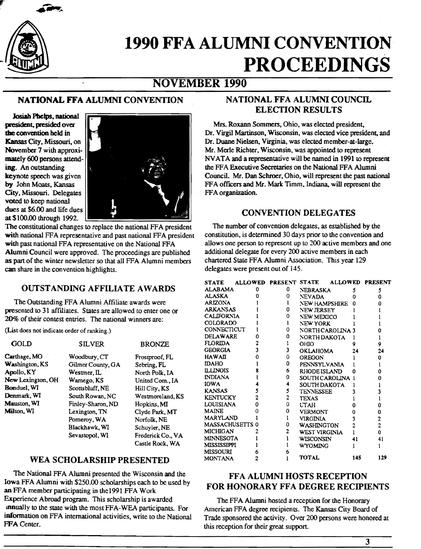

# **1990 FFA ALUMNI CONVENTION** PROCEEDINGS

# NOVEMBER 1990

### NATIONAL FFA ALUMNI CONVENTION

Josiah Phelps, national president, presided over the convention held in Kansas City, Missouri, on November 7 with approximately 600 persons attending. An outstanding keynote speech was given by John Moats, Kansas City, Missouri. Delegates voted to keep national dues at \$6.00 and life dues at\$100.00 through 1992.

The constitutional changes to replace the national FFA president with national FFA representative and past national FFA president with past national FFA representative on the National FFA Alumni Council were approved. The proceedings are published as part of the winter newsletter so that all FFA Alumni members can share in the convention highlights.

### **OUTSTANDING AFFILIATE AWARDS**

The Outstanding FFA Alumni Affiliate awards were presented to 31 affiliates. States are allowed to enter one or 20% of their contest entries. The national winners are:

(List does not indicate order of ranking.)

| GOLD                  | <b>SILVER</b>       | <b>BRONZE</b>     |
|-----------------------|---------------------|-------------------|
| Carthage, MO          | Woodbury, CT        | Frostproof, FL    |
| <b>Washington, KS</b> | Gilmer County, GA   | Sebring, FL       |
| Apollo, KY            | Westmer, ${\rm IL}$ | North Polk, IA    |
| New Lexington, OH     | Wamego, KS          | United Com., IA   |
| Bonduel, WI           | Scottsbluff, NE     | Hill City, KS     |
| Denmark, WI           | South Rowan, NC     | Westmoreland, KS  |
| Mauston, WI           | Finley-Sharon, ND   | Hopkins, MI       |
| <b>Milton, WI</b>     | Lexington, TN       | Clyde Park, MT    |
|                       | Pomeroy, WA         | Norfolk, NE       |
|                       | Blackhawk, WI       | Schuyler, NE      |
|                       | Sevastopol, WI      | Frederick Co., VA |
|                       |                     | Castle Rock, WA   |

#### WEA SCHOLARSHIP PRESENTED

The National FFA Alumni presented the Wisconsin and the Iowa FFA Alumni with \$250.00 scholarships each to be used by an FFA member participating in the1991 FFA Work Experience Abroad program. This scholarship is awarded mnually to the state with the most FFA-WEA participants. For information on FFA international activities, write to the National FFA Center.

### NATIONAL FFA ALUMNI COUNCIL ELECTION RESULTS

Mrs. Roxann Sommers, Ohio, was elected president. Dr. Virgil Martinson, Wisconsin, was elected vice president, and Dr. Duane Nielsen, Virginia, was elected member-at-large. Mr. Merle Richter, Wisconsin, was appointed to represent NV ATA and a representative will be named in 1991 to represent the FFA Executive Secretaries on the National FFA Alumni Council. Mr. Dan Schroer, Ohio, will represent the past national FFA officers and Mr. Mark Timm, Indiana, will represent the FFA organization.

#### CONVENTION DELEGATES

The number of convention delegates, as established by the constitution, is determined 30 days prior to the convention and allows one person to represent up to 200 active members and one additional delegate for every 200 active members in each chartered State FFA Alumni Association. This year 129 delegates were present out of 145.

| <b>STATE</b>           |   |   | ALLOWED PRESENT STATE |                   | <b>ALLOWED</b> |     | <b>PRESENT</b> |     |
|------------------------|---|---|-----------------------|-------------------|----------------|-----|----------------|-----|
| ALABAMA                |   | o | 0                     | NEBRASKA          |                | 5   |                | 5   |
| ALASKA                 |   |   | Ω                     | <b>NEVADA</b>     |                | Ω   |                | Ω   |
| ARIZONA                |   |   |                       | NEW HAMPSHIRE     |                | ۵   |                |     |
| <b>ARKANSAS</b>        |   |   | Ω                     | NEW JERSEY        |                |     |                |     |
| <b>CALIFORNIA</b>      |   |   | Ω                     | <b>NEW MEXICO</b> |                |     |                |     |
| <b>COLORADO</b>        |   |   |                       | NEW YORK          |                |     |                |     |
| CONNECTICUT            |   |   | 0                     | NORTH CAROLINA 3  |                |     |                |     |
| <b>DELAWARE</b>        |   |   | Ω                     | NORTH DAKOTA      |                |     |                |     |
| <b>FLORIDA</b>         |   |   |                       | OHIO              |                |     |                | 9   |
| <b>GEORGIA</b>         |   | ٦ | 3                     | <b>OKLAHOMA</b>   |                | 24  |                | 24  |
| <b>HAWAII</b>          |   |   | 0                     | <b>OREGON</b>     |                |     |                | o   |
| <b>IDAHO</b>           |   |   | 0                     | PENNSYLVANIA      |                |     |                |     |
| <b>ILLINOIS</b>        |   |   | 6                     | RHODE ISLAND      |                |     | Ô              |     |
| <b>INDIANA</b>         |   |   | 0                     | SOUTH CAROLINA    |                |     |                | o   |
| <b>IOWA</b>            |   |   | 4                     | SOUTH DAKOTA      |                |     |                |     |
| <b>KANSAS</b>          |   |   | 5                     | <b>TENNESSEE</b>  |                |     |                |     |
| <b>KENTUCKY</b>        |   |   | 2                     | <b>TEXAS</b>      |                |     |                |     |
| <b>LOUISIANA</b>       | O |   | 0                     | <b>LTAH</b>       |                |     |                |     |
| <b>MAINE</b>           |   |   | 0                     | <b>VERMONT</b>    |                |     | Ω              |     |
| <b>MARYLAND</b>        |   |   |                       | <b>VIRGINIA</b>   |                |     | 2              |     |
| <b>MASSACHUSETTS 0</b> |   |   | 0                     | <b>WASHINGTON</b> |                |     | $\overline{c}$ |     |
| <b>MICHIGAN</b>        |   |   | 2                     | WEST VIRGINIA     |                |     | 0              |     |
| <b>MINNESOTA</b>       |   |   |                       | WISCONSIN         |                | 41  |                | 41  |
| <b>MISSISSIPPI</b>     |   |   |                       | <b>WYOMING</b>    |                |     |                |     |
| <b>MISSOURI</b>        |   |   |                       |                   |                |     |                |     |
| MONTANA                | 2 |   |                       | <b>TOTAL</b>      |                | 145 |                | 129 |

#### FFA ALUMNI HOSTS RECEPTION FOR HONORARY FFA DEGREE RECIPIENTS

The FFA Alumni hosted a reception for the Honorary American FFA degree recipients. The Kansas City Board of Trade sponsored the activity. Over 200 persons were honored at this reception for their great support.

3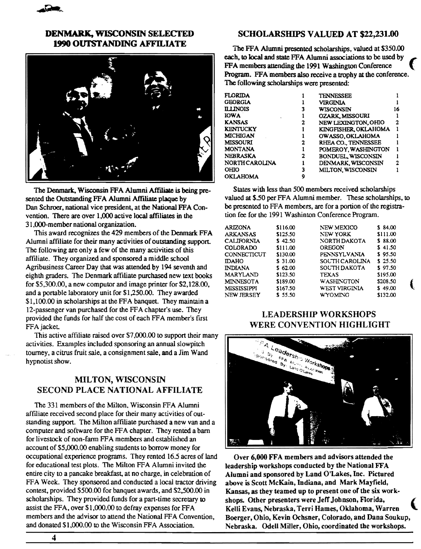#### DENMARK, WISCONSIN SELECTED 1990 OUTSTANDING AFFILIATE



The Denmark. Wisconsin FFA Alumni Affiliate is being presented the Outstanding FFA Alumni Affiliate plaque by Dan Schroer. national vice president. at the National FFA Convention. There are over 1.000 active local affiliates in the 31,000-member national organization.

This award recognizes the 429 members of the Denmark FFA Alumni affiliate for their many activities of outstanding support. The following are only a few of the many activities of this affiliate. They organized and sponsored a middle school Agribusiness Career Day that was attended by 194 seventh and eighth graders. The Denmark affiliate purchased new text books for \$5,300.00. a new computor and image printer for \$2, 128.00, and a portable laboratory unit for \$1,250.00. They awarded \$1,100.00 in scholarships at the FFA banquet. They maintain a 12-passenger van purchased for the FF A chapter's use. They provided the funds for half the cost of each FF A member's first FFA jacket.

This active affiliate raised over \$7 ,000.00 to support their many activities. Examples included sponsoring an annual slowpitch tourney, a citrus fruit sale, a consignment sale, and a Jim Wand hypnotist show.

#### MILTON, WISCONSIN SECOND PLACE NATIONAL AFFILIATE

The 331 members of the Milton, Wisconsin FFA Alumni affiliate received second place for their many activities of outstanding support. The Milton affiliate purchased a new van and a computer and software for the FFA chapter. They rented a barn for livestock of non-farm FF A members and established an account of \$5,000.00 enabling students to borrow money for occupational experience programs. They rented 16.5 acres of land for educational test plots. The Milton FFA Alumni invited the entire city to a pancake breakfast, at no charge, in celebration of FFA Week. They sponsored and conducted a local tractor driving contest. provided \$500.00 for banquet awards, and \$2,500.00 in scholarships. They provided funds for a part-time secretary to assist the FFA, over \$1,000.00 to defray expenses for FFA members and the advisor to attend the National FFA Convention, and donated \$1,000.00 to the Wisconsin FFA Association.

#### SCHOLARSHIPS VALUED AT \$22,231.00

The FFA Alwnni presented scholarships, valued at \$350.00 each, to local and state FFA Alwnni associations to be used by FF A members attending the 1991 Washington Conference *(*  Program. FFA members also receive a trophy at the conference. The following scholarships were presented:

| <b>FLORIDA</b>        |   | <b>TENNESSEE</b>         |    |
|-----------------------|---|--------------------------|----|
| <b>GEORGIA</b>        |   | <b>VIRGINIA</b>          |    |
| <b>ILLINOIS</b>       |   | WISCONSIN                | 16 |
| <b>IOWA</b>           |   | <b>OZARK MISSOURI</b>    |    |
| <b>KANSAS</b>         | 2 | NEW LEXINGTON, OHIO      | 2  |
| <b>KENTUCKY</b>       |   | KINGFISHER OKLAHOMA      |    |
| <b>MICHIGAN</b>       |   | OWASSO, OKLAHOMA         |    |
| <b>MISSOURI</b>       | 2 | RHEA CO., TENNESSEE      |    |
| <b>MONTANA</b>        |   | POMEROY, WASHINGTON      |    |
| <b>NEBRASKA</b>       | 2 | <b>BONDUEL WISCONSIN</b> |    |
| <b>NORTH CAROLINA</b> |   | DENMARK, WISCONSIN       |    |
| OHIO                  |   | MILTON, WISCONSIN        |    |
| <b>OKLAHOMA</b>       |   |                          |    |

States with less than 500 members received scholarships valued at \$.50 per FFA Alumni member. These scholarships, to be presented to FFA members, are for a portion of the registration fee for the 1991 Washinton Conference Program.

| <b>ARIZONA</b>     | \$116.00 | NEW MEXICO        | \$84.00  |  |
|--------------------|----------|-------------------|----------|--|
| <b>ARKANSAS</b>    | \$125.50 | <b>NEW YORK</b>   | \$111.00 |  |
| <b>CALIFORNIA</b>  | \$42.50  | NORTH DAKOTA      | \$ 88.00 |  |
| <b>COLORADO</b>    | \$111.00 | OREGON            | \$41.50  |  |
| CONNECTICUT        | \$130.00 | PENNSYLVANIA      | \$95.50  |  |
| <b>IDAHO</b>       | \$31.00  | SOUTH CAROLINA    | \$25.50  |  |
| <b>INDIANA</b>     | \$62.00  | SOUTH DAKOTA      | \$97.50  |  |
| MARYLAND           | \$123.50 | <b>TEXAS</b>      | \$195.00 |  |
| <b>MINNESOTA</b>   | \$189.00 | <b>WASHINGTON</b> | \$208.50 |  |
| <b>MISSISSIPPI</b> | \$167.50 | WEST VIRGINIA     | \$49.00  |  |
| <b>NEW JERSEY</b>  | \$55.50  | <b>WYOMING</b>    | \$132.00 |  |
|                    |          |                   |          |  |

#### LEADERSHIP WORKSHOPS WERE CONVENTION HIGHLIGHT



Over 6,000 FFA members and advisors attended the leadership workshops conducted by the National FFA Alumni and sponsored by Land O'Lakes, Inc. Pictured above is Scott McKain, Indiana, and Mark Mayfield, Kansas, as they teamed up to present one of the six workshops. Other presenters were Jeff Johnson, Florida, Kelli Evans, Nebraska, Terri Hames, Oklahoma, Warren Boerger, Ohio, Kevin Ochsner, Colorado, and Dana Soukup, Nebraska. Odell Miller, Ohio, coordinated the workshops.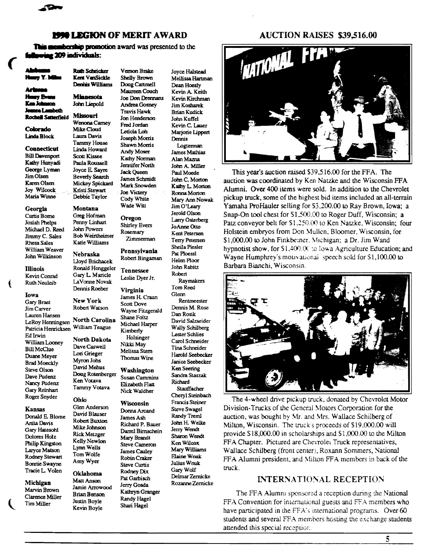

#### **1990 LEGION OF MERIT AWARD**

Vernon Brake

Shelly Brown

Doug Cartmell

Maureen Couch

**Andrea Gosney** 

**Travis Hawk** 

Oregon

Rosemary

**Shirley Evers** 

Zimmerman

Pennsylvania

**Tennessee** 

Virginia

Scott Dove

Leslie Dyer Jr.

James H. Craun

Wayne Fitzgerald

Robert Bingaman

Joe Don Drennans

This membership promotion award was presented to the ag 209 individuals:

m ia I amhein **Rochell Satterfield** 

Colorado

**Linda Block Connecticut** 

**Bill Davenport** Kathy Hunyadi George Lyman Jim Olsen Karen Olsen Joy Wilcock Maria Winne

Georgia Curtis Borne Josiah Phelps Michael D. Reed Jimmy C. Sales Rhesa Sales

William Weaver John Wilkinson **Illinois** 

Kevin Conrad **Ruth Neuleib** 

€

Iowa Gary Braet Jim Carver Lauren Hansen LeRoy Henningsen Patricia Henricksen Ed Irwin William Looney **Bill McClue** Duane Meyer **Brad Moeckly** Steve Olson Dave Pudenz Nancy Pudenz Gary Reinhart Roger Snyder

Kansas

Donald E. Blome Anita Davis Gary Hatesohl Dolores Holz Philip Kingston Laryce Matson Rodney Stewart **Bonnie Swayne** Tracie L. Volen

Michigan Marvin Brown Clarence Miller Tim Miller

Kent VanSickle Denius Williams **Minnesota** 

**Ruth Schricker** 

#### John Liepold **Missouri**

Jon Henderson Wenona Carney Fred Jordan Mike Cloud Leticia Loh Laura Davis Joseph Morris **Tammy House** Shawn Morris Linda Howard Andy Moser Scott Kissee Kathy Norman Paula Roussell Jennifer North Joyce E. Sayre **Jack Queen Beverly Search** James Schmidt Mickey Spickard Mark Snowden Kristi Stewart **Joe Victery** Debbie Taylor Cody White Wade Witt

**Montana** Greg Hofman Penny Linhart **John Powers Bob Weinheimer** 

Katie Williams Nebraska Lloyd Brichacek Ronald Henggeler Gary L. Maricle LaVonne Novak Dennis Roeber

New York Robert Watson

Ken Votava

Ohio

Tammy Votava

Glen Anderson

David Blauser

Robert Buxton

Mike Johnson

**Rick Metzger** 

Kelly Newlon

Lynn Wells

Tom Wolfe

Amy Wyer

Oklahoma

Matt Anson

Jamie Arrowood

**Brian Benson** 

**Justin Boyle** 

Kevin Boyle

Shane Foltz North Carolina Michael Harper William Teague Kimberly

Holsinger North Dakota Nikki May Dave Caswell Melissa Stern Lori Grieger Thomas Wine Myron Johs David Mehus Washington Doug Rotenberger

**Susan Cummins** Elizabeth Flatt Nick Waldher

Wisconsin

Donna Arcand James Ash Richard P. Bauer Darrel Birnschein Mary Brandt Steve Cameron **James Cauley** Robin Craker Steve Curtis Rodney Dix Pat Garbisch Jerry Gosda Kathryn Granger

Randy Hagel

Shari Hagel

Joyce Halstead Mellissa Hartman Dean Hoesly Kevin A. Keith Kevin Kirchman Jim Kosharek **Brian Kudick** John Kuffel Kevin C. Lauer Mariorie Lippert Dennis Logterman **James Mathias** Alan Mazna John A. Miller Paul Moede John C. Morton Kathy L. Morton Ronna Morton Mary Ann Nowak Jim O'Leary Jerold Olson Larry Osterberg JoAnne Otto Kent Petersen **Terry Petersen** Sheila Piesler Pat Ploessl Helen Ploor John Rabitz Robert **Raymakers** Tom Reed Glerm Rentmeester Dennis M. Rose Dan Rosik

David Salzseider Wally Schilberg **Lester Schlies** Carol Schneider Tina Schneider Harold Seebecker Janice Seebecker Ken Seering Sandra Staszak Richard Stauffacher Cheryl Steinbach Francis Steiner **Steve Swagel** Randy Treml John H. Welke Jerry Wendt Sharon Wendt Ken Wilcox Mary Williams Elaine Wnuk Julius Wnuk Gary Wolf Delmar Zernicke Rozanne Zernicke

#### **AUCTION RAISES \$39,516.00**



This year's auction raised \$39,516.00 for the FFA. The auction was coordinated by Ken Natzke and the Wisconsin FFA Alumni. Over 400 items were sold. In addition to the Chevrolet pickup truck, some of the highest bid items included an all-terrain Yamaha ProHauler selling for \$3,200.00 to Ray Brown, Iowa; a Snap-On tool chest for \$1,500.00 to Roger Duff, Wisconsin; a Patz conveyor belt for \$1,250.00 to Ken Natzke, Wisconsin; four Holstein embryos from Don Mullen, Bloomer, Wisconsin, for \$1,000.00 to John Finkbeiner, Michigan; a Dr. Jim Wand hypnotist show, for \$1,400.00 to Iowa Agriculture Education; and Wayne Humphrey's mouvational speech sold for \$1,100.00 to Barbara Bianchi, Wisconsin.



The 4-wheel drive pickup truck, donated by Chevrolet Motor Division-Trucks of the General Motors Corporation for the auction, was bought by Mr. and Mrs. Wallace Schilberg of Milton, Wisconsin. The truck's proceeds of \$19,000.00 will provide \$18,000.00 in scholarships and \$1,000.00 to the Milton FFA Chapter. Pictured are Chevrolet Truck representatives, Wallace Schilberg (front center), Roxann Sommers, National FFA Alumni president, and Milton FFA members in back of the truck.

#### **INTERNATIONAL RECEPTION**

The FFA Alumni sponsored a reception during the National FFA Convention for international guests and FFA members who have participated in the FFA's international programs. Over 60 students and several FFA members hosting the exchange students attended this special reception.

5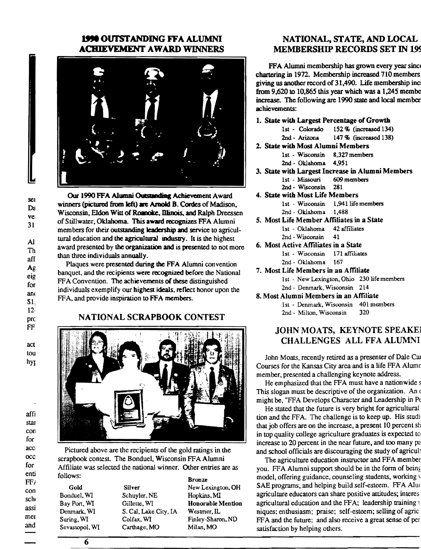#### 1990 OUTSTANDING FFA ALUMNI **ACHIEVEMENT AWARD WINNERS**



Our 1990 FFA Alumni Outstanding Achievement Award winners (pictured from left) are Arnold B. Cordes of Madison, Wisconsin, Eldon Witt of Roanoke, Illinois, and Ralph Dreessen of Stillwater, Oklahoma. This award recognizes FFA Alumni members for their outstanding leadership and service to agricultural education and the agricultural industry. It is the highest award presented by the organization and is presented to not more than three individuals annually.

Plaques were presented during the FFA Alumni convention banquet, and the recipients were recognized before the National FFA Convention. The achievements of these distinguished individuals exemplify our highest ideals, reflect honor upon the FFA, and provide inspiration to FFA members.

#### NATIONAL SCRAPBOOK CONTEST



Pictured above are the recipients of the gold ratings in the scrapbook contest. The Bonduel, Wisconsin FFA Alumni Affiliate was selected the national winner. Other entries are as follows:

 $FF/$ 

Gold Bonduel, WI Bay Port, WI Denmark, WI Suring, WI Sevastopol, WI

**Silver** Schuyler, NE Gillette, WI S. Cal, Lake City, IA Colfax, WI Carthage, MO

**Bronze** New Lexington, OH Hopkins, MI Honorable Mention Westmer, IL Finley-Sharon, ND Milan, MO

#### NATIONAL, STATE, AND LOCAL **MEMBERSHIP RECORDS SET IN 199**

FFA Alumni membership has grown every year since chartering in 1972. Membership increased 710 members giving us another record of 31,490. Life membership inc. from  $9,620$  to 10,865 this year which was a 1,245 membe increase. The following are 1990 state and local member achievements:

#### 1. State with Largest Percentage of Growth

- 1st Colorado 152 % (increased 134)
- 2nd Arizona 147 % (increased 138)
- 2. State with Most Alumni Members 1st - Wisconsin 8,327 members
	- 2nd Oklahoma 4.951
- 3. State with Largest Increase in Alumni Members 1st - Missouri 609 members 2nd - Wisconsin 281
- 4. State with Most Life Members 1st - Wisconsin 1,941 life members
	- 2nd Oklahoma 1.488
- 5. Most Life Member Affiliates in a State 1st - Oklahoma 42 affiliates 2nd - Wisconsin 41
- 6. Most Active Affiliates in a State 1st - Wisconsin 171 affiliates 2nd - Oklahorna 167
- 7. Most Life Members in an Affiliate
	- 1st New Lexington, Ohio 230 life members 2nd - Denmark, Wisconsin 214
- 8. Most Alumni Members in an Affiliate
	- 1st Denmark, Wisconsin 401 members 320 2nd - Milton, Wisconsin

#### JOHN MOATS, KEYNOTE SPEAKE **CHALLENGES ALL FFA ALUMNI**

John Moats, recently retired as a presenter of Dale Car Courses for the Kansas City area and is a life FFA Alumn member, presented a challenging keynote address.

He emphasized that the FFA must have a nationwide s This slogan must be descriptive of the organization. An might be, "FFA Develops Character and Leadership in Pe

He stated that the future is very bright for agricultural tion and the FFA. The challenge is to keep up. His studi that job offers are on the increase, a present 10 percent sh in top quality college agriculture graduates is expected to increase to 20 percent in the near future, and too many pa and school officials are discouraging the study of agricult

The agriculture education instructor and FFA member you. FFA Alumni support should be in the form of being model, offering guidance, counseling students, working SAE programs, and helping build self-esteem. FFA Alur agriculture educators can share positive attitudes; interes agricultural education and the FFA; leadership training niques; enthusiasm; praise; self-esteem; selling of agric FFA and the future; and also receive a great sense of per satisfaction by helping others.

con sch assi mer and

Al Th aff Ag eig for ano \$1.  $12<sub>12</sub>$ prc FF. act tou hyt

affi

star

con

for

acc

 $occ$ 

for

enti

sei

Da

ve:

31

6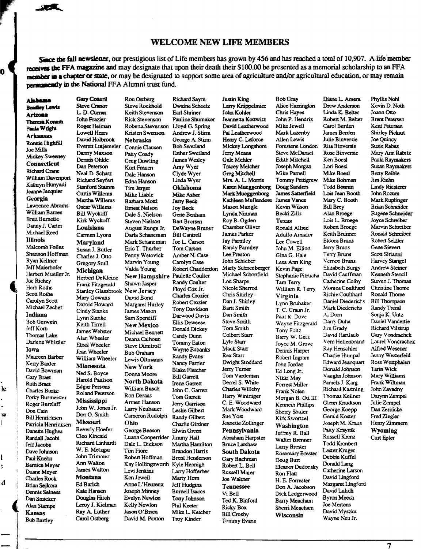#### **WELCOME NEW LIFE MEMBERS**

Since the fall newsletter, our prestigious list of Life members has grown by 456 and has reached a total of 10,907. A life member receives the FFA magazine and may designate that upon their death their \$100.00 be presented as a memorial scholarship to an FFA member in a chapter or state, or may be designated to support some area of agriculture and/or agricultural education, or may remain permanently in the National FFA Alumni trust fund.

**Justin King** 

Richard Savre-

#### Abbama

Ó

**Bradley Lewis** Arizona Theresa Konash Paula Wright **Arkansas** Ronnie Highfill Joe Mills **Mickey Sweeney** Connecticut **Richard Crane** William Davenport Kathryn Hunyadi Jeanne Jacquier Georgia Lawrence Abrams William Barnes **Brett Burnette** Danny J. Carter Michael Reed **Illinois** Malcomb Foiles Shannon Hoffman Rvan Keltner Jeff Maierhofer Herbert Mueller Jr. Joe Richev Herb Rothe Scott Rothe Carolyn Scott Michael Zecher Indiana **Bob Geswein** Jeff Korb Thomas Lake Darlene Whistler Iowa Maureen Barber Kerry Baxter David Bowman **Gary Braet** Ruth Braet **Charles Burke** Porky Burmeister Roger Burzlaff Don Cain **Bill Henricksen** Patricia Henricksen Danette Hughes Randall Jacobi Jeff Jacobs Dave Johnson Paul Kuehn **Bemice Meyer** Duane Meyer **Charles Rock** Brian Sejkora Dennis Selness Dan Smicker Alan Stampe Kansas **Bob Bartley** 

 $\mathbf{e}$ 

١W

l

ĉ

d

**Gary Cottenl** Ron Ostberg **Steve Cranor** L. D. Curran John Frazier **Roger Heiman** Lowell Herrs David Holbrook Nebraska Everett Lutjemeier Danny Maxson Dennis Ohlde Dan Peterson Neal D. Schatz Richard Seyfert **Stanford Stamm** Tim Jerger Curtis Willems Martha Willems Oscar Willems **Bill Wyckoff** Kirk Wyckoff Louisiana Carmen Lyons Maryland Susan J. Butler Charles J. Otto **Gregory Stull** Michigan Herbert DeKleine Frank Fitzgerald Stanley Glassbrook Mary Gowans Darold Howard Cindy Stanke Lynn Stanke Keith Tirrell James Webster Alan Wheeler Ethel Wheeler Jean Wheeler William Wheeler Minnesota Ned S. Boyce Harold Paulson **Edgar Persons** Roland Peterson Ron Deraas Mississippi John W. Jones Jr. Don O. Smith Missouri Ohio **Beverly Hoefer** Cleo Kincaid Richard Linhardt W. E. Metzgar **Tim Fiore** John Trimmer Ann Walton James Walton **Montana** Ken Jewell Ed Barich Kate Hansen Douglas Hitch Leroy J. Kielman Ray A. Luther Carol Ostberg

Steve Rockhold Dwaine Scheetz Keith Stevenson **Earl Shriner Rick Stevenson Pauline Shumaker** Roberta Stevenson Lloyd G. Spring Andrew J. Stirm Kristen Swenson George A. Stirm Connie Clausen **Bob Swetland Esther Swetland** Patty Coady **James Wesley Greg Dowling** Amy Wyer Kurt Frauen Clyde Wyer Dale Hanson Linda Wyer Edna Hanson Oklahoma Mike Liable Mike Asher Barbara Mottl Jerry Beck **Ernest Nelson** Joy Beck Dale S. Nielson Gene Benham Steven Nielson **Bart Brorsen** August Runge Jr. DeWayne Bruner Darla Schaneman **Bill Cantrell** Mark Schaneman Joe L. Carson Eric T. Thurber Tom Carson Penny Wetovick Amber N. Case Marvin Young Carolyn Case Valda Young Robert Chadderdon New Hampshire Paulette Coulter Randy Coulter Shawn Jasper Floyd Cox Jr. New Jersey **Charles Crozier** David Bond Robert Crozier Margaret Hurley Tony Davidson James Mason Darwood Davis Sam Spendiff **Ellis Deweese** New Mexico Donald Dickey Michael Bennett Candy Dunn Deana Calhoun **Tommy Eaton Steve Dimitroff** Wayne Eubanks **Bub Graham** Randy Evans Lewis Oltmanns Nancy Farrier New York **Blake Fletcher** Donna Moore **Bill Garrett North Dakota** Irene Garrett William Busch John C. Garrett Tom Garrett Armen Hanson Jerry Garrison Larry Neubauer Leslie Gilbert Cameron Rudolph Randy Gilbert Charlie Girdner George Beeson Elwin Green Luann Cooperrider Jimmy Hall Dale L. Dickson Martha Hamilton **Brandon Harris** Robert Hoffman **Brent Henderson** Kay Hollingsworth Kyle Hennigh Levi Jenkins Larry Hofferber Marty Hom Anne L'Heureux Jeff Hudgins **Joseph Minney Burnell Isaccs** Evelyn Newlon **Tony Johnson** Kelly Newlon Phil Keeter Jason O'Brien Mike L. Ketcher David M. Paxton Troy Kinder

Larry Knippelmier John Kohler Jeannetta Kottwitz David Leatherwood Pat Leatherwood Henry C. Leforce Mickey Longshore Jerry Means Gale Mehler **Tracey Melcher** Greg Mitchell Mrs. A. L. Morris Karen Mueggenborg Mark Mueggenborg Kathleen Mullendore Mason Mungle Lynda Ninman Roy B. Ogden Chamber Oliver James Parker Jay Parmley Randy Parmley Lee Preston John Schieber Marty Schneeberger Michael Schonfield Lou Sharpe Nicole Sherrod Chris Shirley Dan J. Shirley Bartt Smith Dan Smith Steve Smith Tom Smith Colbert Starr Lyle Starr Mack Starr Rex Starr Dwight Stoddard Jerry Turner Tom Vardeman Derrel S. White Charles Willeby Harry Wininiger C. E. Woodward Mark Woodward Sue Yost Jeanette Zollinger Pennsylvania Abraham Harpster **Bruce Latshaw South Dakota** Gary Bachman Robert L. Bell **Russell Maier** Joe Waltner **Tennessee** Vi Bell Ted K. Binford **Ricky Box Bill Crosby** Tommy Evans

**Bob Gray** Alice Harrington Chris Hayes John P. Hendrix Mike Jewell Mark Lazenby Allen Lewis Forestene London Steve McDaniel Edith Mitchell Joseph Morgan Mike Parnell Tommy Pettigrew Doug Sanders James Satterfield James Vance Kevin Wilson **Becki Zills** Texas Ronald Allred Adulfo Amador Lee Cowell John M. Elliott Gina G. Hale Lesa Ann King Kevin Page Stephanie Pitrucha **Tam Terry** William R. Terry Virginia Lynn Brubaker T. C. Craun Jr. Paul R. Dove Wayne Fitzgerald Tony Foltz Barry W. Getz Joyce M. Grove Dennis Harper Robert Ingram John Jordan Ed Long Jr. Nikki Mav Forrest Miller Frank Nolen Morgan B. Ott III Kenneth Phillips Sherry Shuler Kirk Swortzel Washington Jeffrey R. Ball Walter Brenner Larry Brester Rosemary Brester Doug Burt Eleanor Dudonsky Ron Flan H. E. Forrester Don A. Jacobson Dick Ledgerwood **Barry Meacham** Sherri Meacham Wisconsin

Drew Anderson Linda K. Belter Robert M. Belter Carol Berden **James Renden** Julie Binversie Rita Binversie Rose Rinversie Ken Boesl Lon Boesl **Mike Roesl** Mike Bohman **Todd Bonnin** Lois Jean Booth Mary C. Booth **Bill Brey** Alan Broege Lois L. Broege Robert Broege Keith Brunner Eldora Bruns Jerry Bruns Terry Bruns Vernon Bruns Elizabeth Burgy David Cauffman Catherine Colby Monica Coulthard Richie Coulthard Daniel Diederichs Mark Diederichs Al Dom Darry Duha Jim Grady David Hartlaub Vem Hellenbrand Rav Henschler Charlie Humpal Edward Jeanquart Donald Johnson Vaughn Johnson Pamels J. Karg Richard Kastning Thomas Kellner Glenn Knudtson George Koepp Gerald Koster Joseph M. Kraus Patty Kraynik **Russell Krenz** Todd Kronbert Lester Kruger Debbie Kuffel Donald Lang Catherine Larson David Lingford Margaret Lingford David Lulich **Byron Meech** Joe Mertens David Myszka Wayne Neu Jr.

Diane L. Amera

Phyllis Nohl Kevin D. Noth Joann Otto **Brent Petersen** Kent Petersen **Shirley Pickart** Joe Quincy Susie Rabas Mary Ann Rabitz Paula Raymakers Susan Raymakers **Betty Reible** Jim Riehn **Lindy Riesterer** John Rozum Mark Ruplinger **Brian Schneider Eugene Schneider** Joyce Schreiber Marvin Schreiber Ronald Schreiber Robert Selzler Gene Sievert Scott Sirianni Harvey Stangel **Andrew Steiner** Kenneth Stencil Steven J. Thomas Christine Thome Ronald Thome **Bill Thompson** Randy Treml Sonja K. Untz Daniel Vandertie Richard Vilstrup Gary Vondrachek Laurel Vondrachek Alfred Wesener Jenny Westerfeld Ross Westphalen Tarin Wick Mary Williams Frank Wiltman John Zavadny Darynn Zempel Julie Zempel Dan Zernicke Fred Ziegler Henry Zimmern Wyoming Curt Epler